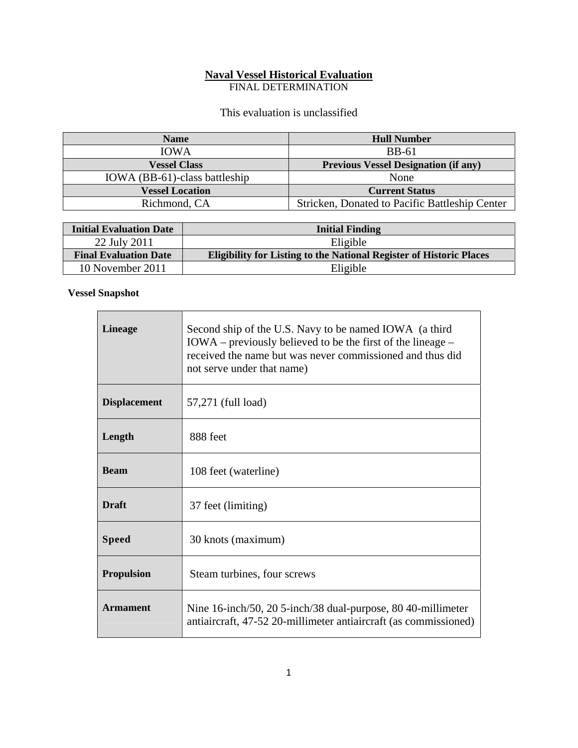## **Naval Vessel Historical Evaluation**

FINAL DETERMINATION

This evaluation is unclassified

| <b>Name</b>                   | <b>Hull Number</b>                             |
|-------------------------------|------------------------------------------------|
| <b>IOWA</b>                   | <b>BB-61</b>                                   |
| <b>Vessel Class</b>           | <b>Previous Vessel Designation (if any)</b>    |
| IOWA (BB-61)-class battleship | None                                           |
| <b>Vessel Location</b>        | <b>Current Status</b>                          |
| Richmond, CA                  | Stricken, Donated to Pacific Battleship Center |

| <b>Initial Evaluation Date</b> | <b>Initial Finding</b>                                                     |
|--------------------------------|----------------------------------------------------------------------------|
| 22 July 2011                   | Eligible                                                                   |
| <b>Final Evaluation Date</b>   | <b>Eligibility for Listing to the National Register of Historic Places</b> |
| 10 November 2011               | Eligible                                                                   |

## **Vessel Snapshot**

| <b>Lineage</b>      | Second ship of the U.S. Navy to be named IOWA (a third<br>$IOWA$ – previously believed to be the first of the lineage –<br>received the name but was never commissioned and thus did<br>not serve under that name) |
|---------------------|--------------------------------------------------------------------------------------------------------------------------------------------------------------------------------------------------------------------|
| <b>Displacement</b> | 57,271 (full load)                                                                                                                                                                                                 |
| Length              | 888 feet                                                                                                                                                                                                           |
| <b>Beam</b>         | 108 feet (waterline)                                                                                                                                                                                               |
| <b>Draft</b>        | 37 feet (limiting)                                                                                                                                                                                                 |
| <b>Speed</b>        | 30 knots (maximum)                                                                                                                                                                                                 |
| <b>Propulsion</b>   | Steam turbines, four screws                                                                                                                                                                                        |
| <b>Armament</b>     | Nine 16-inch/50, 20 5-inch/38 dual-purpose, 80 40-millimeter<br>antiaircraft, 47-52 20-millimeter antiaircraft (as commissioned)                                                                                   |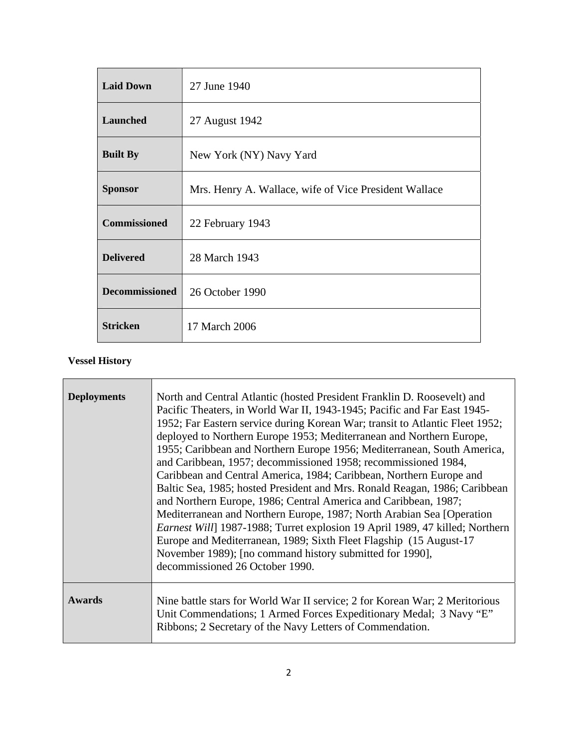| <b>Laid Down</b>      | 27 June 1940                                          |
|-----------------------|-------------------------------------------------------|
| <b>Launched</b>       | 27 August 1942                                        |
| <b>Built By</b>       | New York (NY) Navy Yard                               |
| <b>Sponsor</b>        | Mrs. Henry A. Wallace, wife of Vice President Wallace |
| <b>Commissioned</b>   | 22 February 1943                                      |
| <b>Delivered</b>      | 28 March 1943                                         |
| <b>Decommissioned</b> | 26 October 1990                                       |
| <b>Stricken</b>       | 17 March 2006                                         |

## **Vessel History**

| <b>Deployments</b> | North and Central Atlantic (hosted President Franklin D. Roosevelt) and<br>Pacific Theaters, in World War II, 1943-1945; Pacific and Far East 1945-<br>1952; Far Eastern service during Korean War; transit to Atlantic Fleet 1952;<br>deployed to Northern Europe 1953; Mediterranean and Northern Europe,<br>1955; Caribbean and Northern Europe 1956; Mediterranean, South America,<br>and Caribbean, 1957; decommissioned 1958; recommissioned 1984,<br>Caribbean and Central America, 1984; Caribbean, Northern Europe and<br>Baltic Sea, 1985; hosted President and Mrs. Ronald Reagan, 1986; Caribbean<br>and Northern Europe, 1986; Central America and Caribbean, 1987;<br>Mediterranean and Northern Europe, 1987; North Arabian Sea [Operation<br>Earnest Will] 1987-1988; Turret explosion 19 April 1989, 47 killed; Northern<br>Europe and Mediterranean, 1989; Sixth Fleet Flagship (15 August-17)<br>November 1989); [no command history submitted for 1990],<br>decommissioned 26 October 1990. |
|--------------------|-----------------------------------------------------------------------------------------------------------------------------------------------------------------------------------------------------------------------------------------------------------------------------------------------------------------------------------------------------------------------------------------------------------------------------------------------------------------------------------------------------------------------------------------------------------------------------------------------------------------------------------------------------------------------------------------------------------------------------------------------------------------------------------------------------------------------------------------------------------------------------------------------------------------------------------------------------------------------------------------------------------------|
| <b>Awards</b>      | Nine battle stars for World War II service; 2 for Korean War; 2 Meritorious<br>Unit Commendations; 1 Armed Forces Expeditionary Medal; 3 Navy "E"<br>Ribbons; 2 Secretary of the Navy Letters of Commendation.                                                                                                                                                                                                                                                                                                                                                                                                                                                                                                                                                                                                                                                                                                                                                                                                  |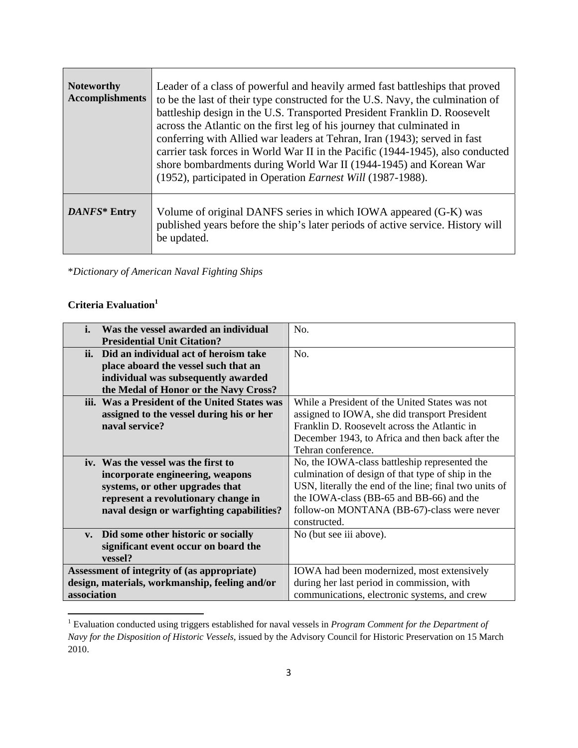| <b>Noteworthy</b><br><b>Accomplishments</b> | Leader of a class of powerful and heavily armed fast battleships that proved<br>to be the last of their type constructed for the U.S. Navy, the culmination of<br>battleship design in the U.S. Transported President Franklin D. Roosevelt<br>across the Atlantic on the first leg of his journey that culminated in<br>conferring with Allied war leaders at Tehran, Iran (1943); served in fast<br>carrier task forces in World War II in the Pacific (1944-1945), also conducted<br>shore bombardments during World War II (1944-1945) and Korean War<br>(1952), participated in Operation Earnest Will (1987-1988). |
|---------------------------------------------|--------------------------------------------------------------------------------------------------------------------------------------------------------------------------------------------------------------------------------------------------------------------------------------------------------------------------------------------------------------------------------------------------------------------------------------------------------------------------------------------------------------------------------------------------------------------------------------------------------------------------|
| DANFS* Entry                                | Volume of original DANFS series in which IOWA appeared (G-K) was<br>published years before the ship's later periods of active service. History will<br>be updated.                                                                                                                                                                                                                                                                                                                                                                                                                                                       |

\**Dictionary of American Naval Fighting Ships*

## **Criteria Evaluation**<sup>1</sup>

| i.<br>Was the vessel awarded an individual           | No.                                                    |
|------------------------------------------------------|--------------------------------------------------------|
| <b>Presidential Unit Citation?</b>                   |                                                        |
| Did an individual act of heroism take<br>ii.         | No.                                                    |
| place aboard the vessel such that an                 |                                                        |
| individual was subsequently awarded                  |                                                        |
| the Medal of Honor or the Navy Cross?                |                                                        |
| iii. Was a President of the United States was        | While a President of the United States was not         |
| assigned to the vessel during his or her             | assigned to IOWA, she did transport President          |
| naval service?                                       | Franklin D. Roosevelt across the Atlantic in           |
|                                                      | December 1943, to Africa and then back after the       |
|                                                      | Tehran conference.                                     |
| iv. Was the vessel was the first to                  | No, the IOWA-class battleship represented the          |
| incorporate engineering, weapons                     | culmination of design of that type of ship in the      |
| systems, or other upgrades that                      | USN, literally the end of the line; final two units of |
| represent a revolutionary change in                  | the IOWA-class (BB-65 and BB-66) and the               |
| naval design or warfighting capabilities?            | follow-on MONTANA (BB-67)-class were never             |
|                                                      | constructed.                                           |
| Did some other historic or socially<br>$V_{\bullet}$ | No (but see iii above).                                |
| significant event occur on board the                 |                                                        |
| vessel?                                              |                                                        |
| Assessment of integrity of (as appropriate)          | IOWA had been modernized, most extensively             |
| design, materials, workmanship, feeling and/or       | during her last period in commission, with             |
| association                                          | communications, electronic systems, and crew           |

 1 Evaluation conducted using triggers established for naval vessels in *Program Comment for the Department of Navy for the Disposition of Historic Vessels*, issued by the Advisory Council for Historic Preservation on 15 March 2010.